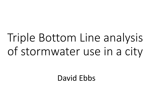# Triple Bottom Line analysis of stormwater use in a city

David Ebbs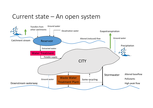# Current state – An open system

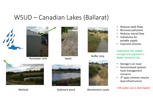### WSUD – Canadian Lakes (Ballarat)







Swale





- •Reduces peak flows
- •Removes pollutants
- •Reduces overall flow
- • Substitutes for potable supply
- $\bullet$ Improves amenity

Implement this widely enough and approach a Water Sensitive City

- •Storage is an issue
- $\bullet$  Decentralised systems have management concerns
- $\bullet$ 3<sup>rd</sup> pipe schemes require dual infrastructure

#### <5% water use is stormwater



Wetland



Sediment pond Bioretention swale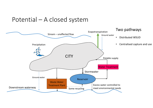# Potential – A closed system